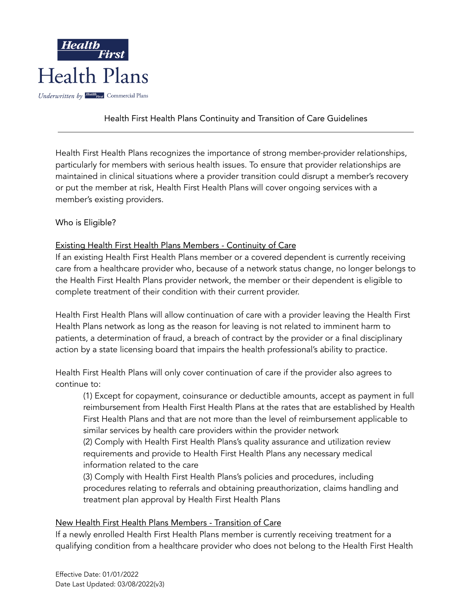

### Health First Health Plans Continuity and Transition of Care Guidelines

Health First Health Plans recognizes the importance of strong member-provider relationships, particularly for members with serious health issues. To ensure that provider relationships are maintained in clinical situations where a provider transition could disrupt a member's recovery or put the member at risk, Health First Health Plans will cover ongoing services with a member's existing providers.

#### Who is Eligible?

#### Existing Health First Health Plans Members - Continuity of Care

If an existing Health First Health Plans member or a covered dependent is currently receiving care from a healthcare provider who, because of a network status change, no longer belongs to the Health First Health Plans provider network, the member or their dependent is eligible to complete treatment of their condition with their current provider.

Health First Health Plans will allow continuation of care with a provider leaving the Health First Health Plans network as long as the reason for leaving is not related to imminent harm to patients, a determination of fraud, a breach of contract by the provider or a final disciplinary action by a state licensing board that impairs the health professional's ability to practice.

Health First Health Plans will only cover continuation of care if the provider also agrees to continue to:

(1) Except for copayment, coinsurance or deductible amounts, accept as payment in full reimbursement from Health First Health Plans at the rates that are established by Health First Health Plans and that are not more than the level of reimbursement applicable to similar services by health care providers within the provider network

(2) Comply with Health First Health Plans's quality assurance and utilization review requirements and provide to Health First Health Plans any necessary medical information related to the care

(3) Comply with Health First Health Plans's policies and procedures, including procedures relating to referrals and obtaining preauthorization, claims handling and treatment plan approval by Health First Health Plans

#### New Health First Health Plans Members - Transition of Care

If a newly enrolled Health First Health Plans member is currently receiving treatment for a qualifying condition from a healthcare provider who does not belong to the Health First Health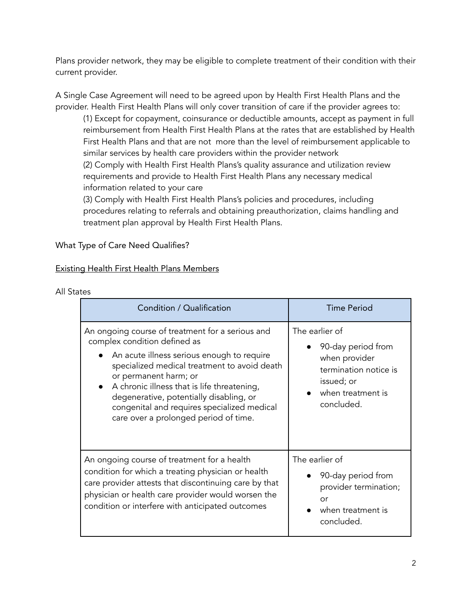Plans provider network, they may be eligible to complete treatment of their condition with their current provider.

A Single Case Agreement will need to be agreed upon by Health First Health Plans and the provider. Health First Health Plans will only cover transition of care if the provider agrees to:

(1) Except for copayment, coinsurance or deductible amounts, accept as payment in full reimbursement from Health First Health Plans at the rates that are established by Health First Health Plans and that are not more than the level of reimbursement applicable to similar services by health care providers within the provider network (2) Comply with Health First Health Plans's quality assurance and utilization review requirements and provide to Health First Health Plans any necessary medical information related to your care

(3) Comply with Health First Health Plans's policies and procedures, including procedures relating to referrals and obtaining preauthorization, claims handling and treatment plan approval by Health First Health Plans.

### What Type of Care Need Qualifies?

#### Existing Health First Health Plans Members

| All States |
|------------|
|------------|

| Condition / Qualification                                                                                                                                                                                                                                                                                                                                                                 | <b>Time Period</b>                                                                                                              |
|-------------------------------------------------------------------------------------------------------------------------------------------------------------------------------------------------------------------------------------------------------------------------------------------------------------------------------------------------------------------------------------------|---------------------------------------------------------------------------------------------------------------------------------|
| An ongoing course of treatment for a serious and<br>complex condition defined as<br>An acute illness serious enough to require<br>specialized medical treatment to avoid death<br>or permanent harm; or<br>A chronic illness that is life threatening,<br>degenerative, potentially disabling, or<br>congenital and requires specialized medical<br>care over a prolonged period of time. | The earlier of<br>90-day period from<br>when provider<br>termination notice is<br>issued; or<br>when treatment is<br>concluded. |
| An ongoing course of treatment for a health<br>condition for which a treating physician or health<br>care provider attests that discontinuing care by that<br>physician or health care provider would worsen the<br>condition or interfere with anticipated outcomes                                                                                                                      | The earlier of<br>90-day period from<br>provider termination;<br>or<br>when treatment is<br>concluded.                          |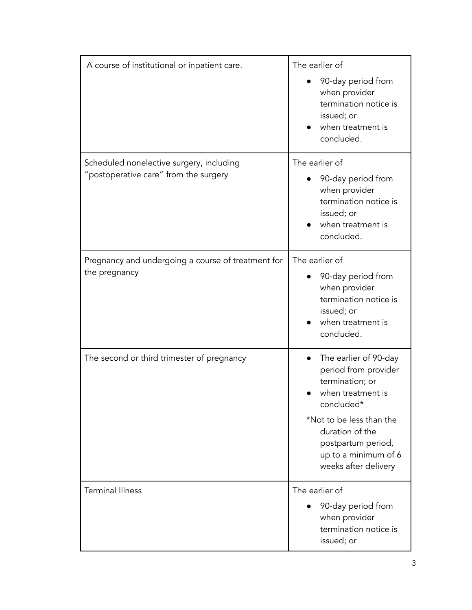| A course of institutional or inpatient care.                                      | The earlier of<br>90-day period from<br>when provider<br>termination notice is<br>issued; or<br>when treatment is<br>concluded.                                                                                                       |
|-----------------------------------------------------------------------------------|---------------------------------------------------------------------------------------------------------------------------------------------------------------------------------------------------------------------------------------|
| Scheduled nonelective surgery, including<br>"postoperative care" from the surgery | The earlier of<br>90-day period from<br>when provider<br>termination notice is<br>issued; or<br>when treatment is<br>concluded.                                                                                                       |
| Pregnancy and undergoing a course of treatment for<br>the pregnancy               | The earlier of<br>90-day period from<br>when provider<br>termination notice is<br>issued; or<br>when treatment is<br>concluded.                                                                                                       |
| The second or third trimester of pregnancy                                        | The earlier of 90-day<br>$\bullet$<br>period from provider<br>termination; or<br>when treatment is<br>concluded*<br>*Not to be less than the<br>duration of the<br>postpartum period,<br>up to a minimum of 6<br>weeks after delivery |
| <b>Terminal Illness</b>                                                           | The earlier of<br>90-day period from<br>when provider<br>termination notice is<br>issued; or                                                                                                                                          |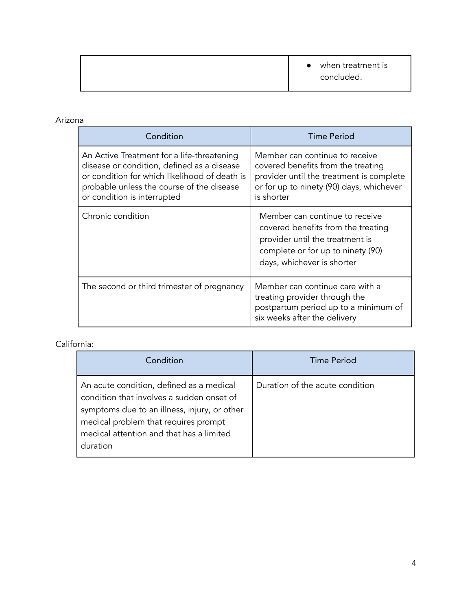### Arizona

| Condition                                                                                                                                                                                                             | <b>Time Period</b>                                                                                                                                                         |
|-----------------------------------------------------------------------------------------------------------------------------------------------------------------------------------------------------------------------|----------------------------------------------------------------------------------------------------------------------------------------------------------------------------|
| An Active Treatment for a life-threatening<br>disease or condition, defined as a disease<br>or condition for which likelihood of death is<br>probable unless the course of the disease<br>or condition is interrupted | Member can continue to receive<br>covered benefits from the treating<br>provider until the treatment is complete<br>or for up to ninety (90) days, whichever<br>is shorter |
| Chronic condition                                                                                                                                                                                                     | Member can continue to receive<br>covered benefits from the treating<br>provider until the treatment is<br>complete or for up to ninety (90)<br>days, whichever is shorter |
| The second or third trimester of pregnancy                                                                                                                                                                            | Member can continue care with a<br>treating provider through the<br>postpartum period up to a minimum of<br>six weeks after the delivery                                   |

# California:

| Condition                                                                                                                                                                                                                             | Time Period                     |
|---------------------------------------------------------------------------------------------------------------------------------------------------------------------------------------------------------------------------------------|---------------------------------|
| An acute condition, defined as a medical<br>condition that involves a sudden onset of<br>symptoms due to an illness, injury, or other<br>medical problem that requires prompt<br>medical attention and that has a limited<br>duration | Duration of the acute condition |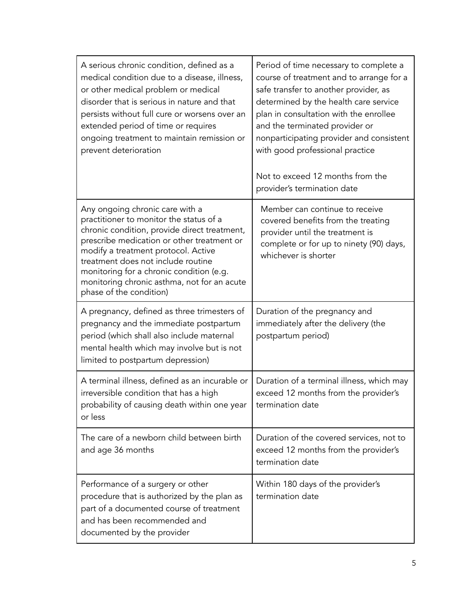| A serious chronic condition, defined as a<br>medical condition due to a disease, illness,<br>or other medical problem or medical<br>disorder that is serious in nature and that<br>persists without full cure or worsens over an<br>extended period of time or requires<br>ongoing treatment to maintain remission or<br>prevent deterioration                              | Period of time necessary to complete a<br>course of treatment and to arrange for a<br>safe transfer to another provider, as<br>determined by the health care service<br>plan in consultation with the enrollee<br>and the terminated provider or<br>nonparticipating provider and consistent<br>with good professional practice<br>Not to exceed 12 months from the |
|-----------------------------------------------------------------------------------------------------------------------------------------------------------------------------------------------------------------------------------------------------------------------------------------------------------------------------------------------------------------------------|---------------------------------------------------------------------------------------------------------------------------------------------------------------------------------------------------------------------------------------------------------------------------------------------------------------------------------------------------------------------|
|                                                                                                                                                                                                                                                                                                                                                                             | provider's termination date                                                                                                                                                                                                                                                                                                                                         |
| Any ongoing chronic care with a<br>practitioner to monitor the status of a<br>chronic condition, provide direct treatment,<br>prescribe medication or other treatment or<br>modify a treatment protocol. Active<br>treatment does not include routine<br>monitoring for a chronic condition (e.g.<br>monitoring chronic asthma, not for an acute<br>phase of the condition) | Member can continue to receive<br>covered benefits from the treating<br>provider until the treatment is<br>complete or for up to ninety (90) days,<br>whichever is shorter                                                                                                                                                                                          |
| A pregnancy, defined as three trimesters of<br>pregnancy and the immediate postpartum<br>period (which shall also include maternal<br>mental health which may involve but is not<br>limited to postpartum depression)                                                                                                                                                       | Duration of the pregnancy and<br>immediately after the delivery (the<br>postpartum period)                                                                                                                                                                                                                                                                          |
| A terminal illness, defined as an incurable or<br>irreversible condition that has a high<br>probability of causing death within one year<br>or less                                                                                                                                                                                                                         | Duration of a terminal illness, which may<br>exceed 12 months from the provider's<br>termination date                                                                                                                                                                                                                                                               |
| The care of a newborn child between birth<br>and age 36 months                                                                                                                                                                                                                                                                                                              | Duration of the covered services, not to<br>exceed 12 months from the provider's<br>termination date                                                                                                                                                                                                                                                                |
| Performance of a surgery or other<br>procedure that is authorized by the plan as<br>part of a documented course of treatment<br>and has been recommended and<br>documented by the provider                                                                                                                                                                                  | Within 180 days of the provider's<br>termination date                                                                                                                                                                                                                                                                                                               |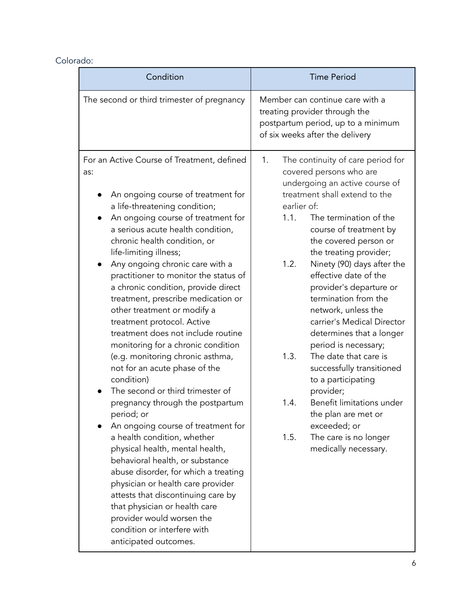# Colorado:

| Condition                                                                                                                                                                                                                                                                                                                                                                                                                                                                                                                                                                                                                                                                                                                                                                                                                                                                                                                                                                                                                                                                                                                    | <b>Time Period</b>                                                                                                                                                                                                                                                                                                                                                                                                                                                                                                                                                                                                                                                                                                                   |
|------------------------------------------------------------------------------------------------------------------------------------------------------------------------------------------------------------------------------------------------------------------------------------------------------------------------------------------------------------------------------------------------------------------------------------------------------------------------------------------------------------------------------------------------------------------------------------------------------------------------------------------------------------------------------------------------------------------------------------------------------------------------------------------------------------------------------------------------------------------------------------------------------------------------------------------------------------------------------------------------------------------------------------------------------------------------------------------------------------------------------|--------------------------------------------------------------------------------------------------------------------------------------------------------------------------------------------------------------------------------------------------------------------------------------------------------------------------------------------------------------------------------------------------------------------------------------------------------------------------------------------------------------------------------------------------------------------------------------------------------------------------------------------------------------------------------------------------------------------------------------|
| The second or third trimester of pregnancy                                                                                                                                                                                                                                                                                                                                                                                                                                                                                                                                                                                                                                                                                                                                                                                                                                                                                                                                                                                                                                                                                   | Member can continue care with a<br>treating provider through the<br>postpartum period, up to a minimum<br>of six weeks after the delivery                                                                                                                                                                                                                                                                                                                                                                                                                                                                                                                                                                                            |
| For an Active Course of Treatment, defined<br>as:<br>An ongoing course of treatment for<br>a life-threatening condition;<br>An ongoing course of treatment for<br>a serious acute health condition,<br>chronic health condition, or<br>life-limiting illness;<br>Any ongoing chronic care with a<br>practitioner to monitor the status of<br>a chronic condition, provide direct<br>treatment, prescribe medication or<br>other treatment or modify a<br>treatment protocol. Active<br>treatment does not include routine<br>monitoring for a chronic condition<br>(e.g. monitoring chronic asthma,<br>not for an acute phase of the<br>condition)<br>The second or third trimester of<br>pregnancy through the postpartum<br>period; or<br>An ongoing course of treatment for<br>a health condition, whether<br>physical health, mental health,<br>behavioral health, or substance<br>abuse disorder, for which a treating<br>physician or health care provider<br>attests that discontinuing care by<br>that physician or health care<br>provider would worsen the<br>condition or interfere with<br>anticipated outcomes. | 1.<br>The continuity of care period for<br>covered persons who are<br>undergoing an active course of<br>treatment shall extend to the<br>earlier of:<br>1.1.<br>The termination of the<br>course of treatment by<br>the covered person or<br>the treating provider;<br>1.2.<br>Ninety (90) days after the<br>effective date of the<br>provider's departure or<br>termination from the<br>network, unless the<br>carrier's Medical Director<br>determines that a longer<br>period is necessary;<br>The date that care is<br>1.3.<br>successfully transitioned<br>to a participating<br>provider;<br>Benefit limitations under<br>1.4.<br>the plan are met or<br>exceeded; or<br>1.5.<br>The care is no longer<br>medically necessary. |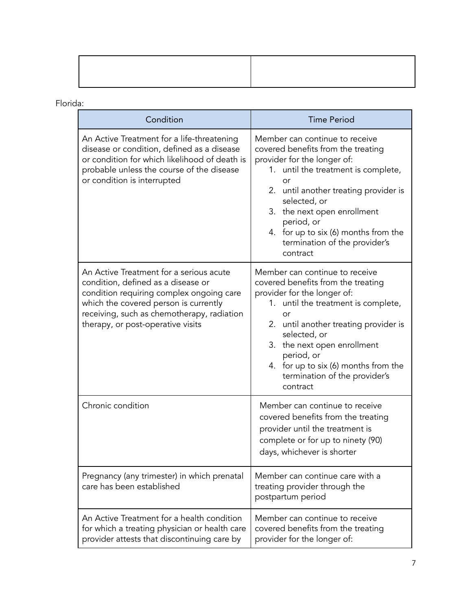## Florida:

| Condition                                                                                                                                                                                                                                             | <b>Time Period</b>                                                                                                                                                                                                                                                                                                                                |
|-------------------------------------------------------------------------------------------------------------------------------------------------------------------------------------------------------------------------------------------------------|---------------------------------------------------------------------------------------------------------------------------------------------------------------------------------------------------------------------------------------------------------------------------------------------------------------------------------------------------|
| An Active Treatment for a life-threatening<br>disease or condition, defined as a disease<br>or condition for which likelihood of death is<br>probable unless the course of the disease<br>or condition is interrupted                                 | Member can continue to receive<br>covered benefits from the treating<br>provider for the longer of:<br>1. until the treatment is complete,<br>or<br>2. until another treating provider is<br>selected, or<br>the next open enrollment<br>3.<br>period, or<br>4. for up to six (6) months from the<br>termination of the provider's<br>contract    |
| An Active Treatment for a serious acute<br>condition, defined as a disease or<br>condition requiring complex ongoing care<br>which the covered person is currently<br>receiving, such as chemotherapy, radiation<br>therapy, or post-operative visits | Member can continue to receive<br>covered benefits from the treating<br>provider for the longer of:<br>1. until the treatment is complete,<br>or<br>2.<br>until another treating provider is<br>selected, or<br>the next open enrollment<br>3.<br>period, or<br>4. for up to six (6) months from the<br>termination of the provider's<br>contract |
| Chronic condition                                                                                                                                                                                                                                     | Member can continue to receive<br>covered benefits from the treating<br>provider until the treatment is<br>complete or for up to ninety (90)<br>days, whichever is shorter                                                                                                                                                                        |
| Pregnancy (any trimester) in which prenatal<br>care has been established                                                                                                                                                                              | Member can continue care with a<br>treating provider through the<br>postpartum period                                                                                                                                                                                                                                                             |
| An Active Treatment for a health condition<br>for which a treating physician or health care<br>provider attests that discontinuing care by                                                                                                            | Member can continue to receive<br>covered benefits from the treating<br>provider for the longer of:                                                                                                                                                                                                                                               |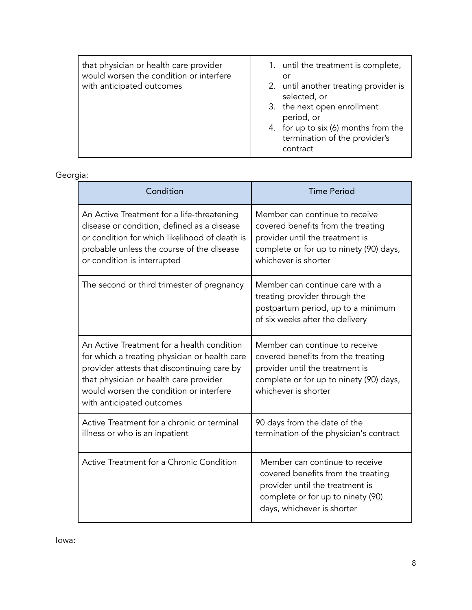| that physician or health care provider<br>would worsen the condition or interfere<br>with anticipated outcomes | 1. until the treatment is complete,<br>or<br>2. until another treating provider is<br>selected, or<br>3. the next open enrollment<br>period, or<br>4. for up to six (6) months from the<br>termination of the provider's<br>contract |
|----------------------------------------------------------------------------------------------------------------|--------------------------------------------------------------------------------------------------------------------------------------------------------------------------------------------------------------------------------------|
|                                                                                                                |                                                                                                                                                                                                                                      |

### Georgia:

| Condition                                                                                                                                                                                                                                                    | <b>Time Period</b>                                                                                                                                                         |
|--------------------------------------------------------------------------------------------------------------------------------------------------------------------------------------------------------------------------------------------------------------|----------------------------------------------------------------------------------------------------------------------------------------------------------------------------|
| An Active Treatment for a life-threatening<br>disease or condition, defined as a disease<br>or condition for which likelihood of death is<br>probable unless the course of the disease<br>or condition is interrupted                                        | Member can continue to receive<br>covered benefits from the treating<br>provider until the treatment is<br>complete or for up to ninety (90) days,<br>whichever is shorter |
| The second or third trimester of pregnancy                                                                                                                                                                                                                   | Member can continue care with a<br>treating provider through the<br>postpartum period, up to a minimum<br>of six weeks after the delivery                                  |
| An Active Treatment for a health condition<br>for which a treating physician or health care<br>provider attests that discontinuing care by<br>that physician or health care provider<br>would worsen the condition or interfere<br>with anticipated outcomes | Member can continue to receive<br>covered benefits from the treating<br>provider until the treatment is<br>complete or for up to ninety (90) days,<br>whichever is shorter |
| Active Treatment for a chronic or terminal<br>illness or who is an inpatient                                                                                                                                                                                 | 90 days from the date of the<br>termination of the physician's contract                                                                                                    |
| Active Treatment for a Chronic Condition                                                                                                                                                                                                                     | Member can continue to receive<br>covered benefits from the treating<br>provider until the treatment is<br>complete or for up to ninety (90)<br>days, whichever is shorter |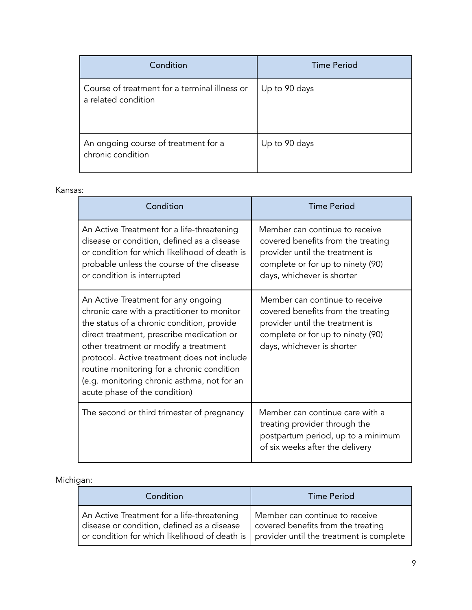| Condition                                                            | <b>Time Period</b> |
|----------------------------------------------------------------------|--------------------|
| Course of treatment for a terminal illness or<br>a related condition | Up to 90 days      |
| An ongoing course of treatment for a<br>chronic condition            | Up to 90 days      |

#### Kansas:

| Condition                                                                                                                                                                                                                                                                                                                                                                                           | <b>Time Period</b>                                                                                                                                                         |
|-----------------------------------------------------------------------------------------------------------------------------------------------------------------------------------------------------------------------------------------------------------------------------------------------------------------------------------------------------------------------------------------------------|----------------------------------------------------------------------------------------------------------------------------------------------------------------------------|
| An Active Treatment for a life-threatening<br>disease or condition, defined as a disease<br>or condition for which likelihood of death is<br>probable unless the course of the disease<br>or condition is interrupted                                                                                                                                                                               | Member can continue to receive<br>covered benefits from the treating<br>provider until the treatment is<br>complete or for up to ninety (90)<br>days, whichever is shorter |
| An Active Treatment for any ongoing<br>chronic care with a practitioner to monitor<br>the status of a chronic condition, provide<br>direct treatment, prescribe medication or<br>other treatment or modify a treatment<br>protocol. Active treatment does not include<br>routine monitoring for a chronic condition<br>(e.g. monitoring chronic asthma, not for an<br>acute phase of the condition) | Member can continue to receive<br>covered benefits from the treating<br>provider until the treatment is<br>complete or for up to ninety (90)<br>days, whichever is shorter |
| The second or third trimester of pregnancy                                                                                                                                                                                                                                                                                                                                                          | Member can continue care with a<br>treating provider through the<br>postpartum period, up to a minimum<br>of six weeks after the delivery                                  |

### Michigan:

| Condition                                                                                                                                                                                  | <b>Time Period</b>                                                   |
|--------------------------------------------------------------------------------------------------------------------------------------------------------------------------------------------|----------------------------------------------------------------------|
| An Active Treatment for a life-threatening<br>disease or condition, defined as a disease<br>or condition for which likelihood of death is $\vert$ provider until the treatment is complete | Member can continue to receive<br>covered benefits from the treating |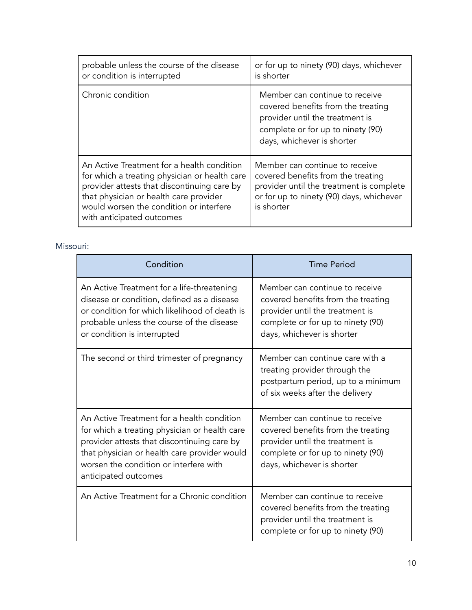| probable unless the course of the disease<br>or condition is interrupted                                                                                                                                                                                     | or for up to ninety (90) days, whichever<br>is shorter                                                                                                                     |
|--------------------------------------------------------------------------------------------------------------------------------------------------------------------------------------------------------------------------------------------------------------|----------------------------------------------------------------------------------------------------------------------------------------------------------------------------|
| Chronic condition                                                                                                                                                                                                                                            | Member can continue to receive<br>covered benefits from the treating<br>provider until the treatment is<br>complete or for up to ninety (90)<br>days, whichever is shorter |
| An Active Treatment for a health condition<br>for which a treating physician or health care<br>provider attests that discontinuing care by<br>that physician or health care provider<br>would worsen the condition or interfere<br>with anticipated outcomes | Member can continue to receive<br>covered benefits from the treating<br>provider until the treatment is complete<br>or for up to ninety (90) days, whichever<br>is shorter |

#### Missouri:

| Condition                                                                                                                                                                                                                                                    | <b>Time Period</b>                                                                                                                                                         |
|--------------------------------------------------------------------------------------------------------------------------------------------------------------------------------------------------------------------------------------------------------------|----------------------------------------------------------------------------------------------------------------------------------------------------------------------------|
| An Active Treatment for a life-threatening<br>disease or condition, defined as a disease<br>or condition for which likelihood of death is<br>probable unless the course of the disease<br>or condition is interrupted                                        | Member can continue to receive<br>covered benefits from the treating<br>provider until the treatment is<br>complete or for up to ninety (90)<br>days, whichever is shorter |
| The second or third trimester of pregnancy                                                                                                                                                                                                                   | Member can continue care with a<br>treating provider through the<br>postpartum period, up to a minimum<br>of six weeks after the delivery                                  |
| An Active Treatment for a health condition<br>for which a treating physician or health care<br>provider attests that discontinuing care by<br>that physician or health care provider would<br>worsen the condition or interfere with<br>anticipated outcomes | Member can continue to receive<br>covered benefits from the treating<br>provider until the treatment is<br>complete or for up to ninety (90)<br>days, whichever is shorter |
| An Active Treatment for a Chronic condition                                                                                                                                                                                                                  | Member can continue to receive<br>covered benefits from the treating<br>provider until the treatment is<br>complete or for up to ninety (90)                               |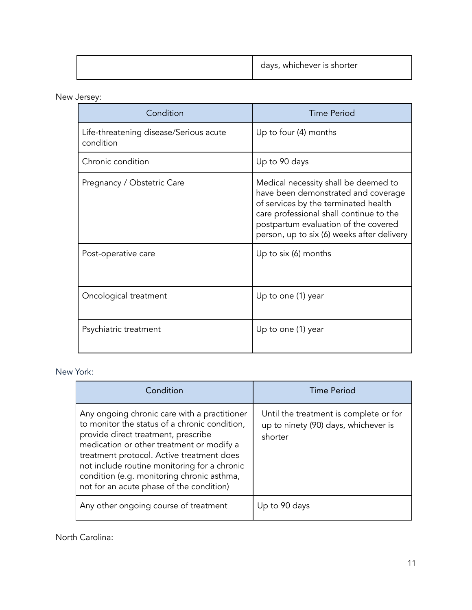|  | , whichever is shorter<br>days, |
|--|---------------------------------|
|--|---------------------------------|

## New Jersey:

| Condition                                           | <b>Time Period</b>                                                                                                                                                                                                                                   |
|-----------------------------------------------------|------------------------------------------------------------------------------------------------------------------------------------------------------------------------------------------------------------------------------------------------------|
| Life-threatening disease/Serious acute<br>condition | Up to four (4) months                                                                                                                                                                                                                                |
| Chronic condition                                   | Up to 90 days                                                                                                                                                                                                                                        |
| Pregnancy / Obstetric Care                          | Medical necessity shall be deemed to<br>have been demonstrated and coverage<br>of services by the terminated health<br>care professional shall continue to the<br>postpartum evaluation of the covered<br>person, up to six (6) weeks after delivery |
| Post-operative care                                 | Up to six (6) months                                                                                                                                                                                                                                 |
| Oncological treatment                               | Up to one (1) year                                                                                                                                                                                                                                   |
| Psychiatric treatment                               | Up to one (1) year                                                                                                                                                                                                                                   |

New York:

| Condition                                                                                                                                                                                                                                                                                                                                                                | <b>Time Period</b>                                                                        |
|--------------------------------------------------------------------------------------------------------------------------------------------------------------------------------------------------------------------------------------------------------------------------------------------------------------------------------------------------------------------------|-------------------------------------------------------------------------------------------|
| Any ongoing chronic care with a practitioner<br>to monitor the status of a chronic condition,<br>provide direct treatment, prescribe<br>medication or other treatment or modify a<br>treatment protocol. Active treatment does<br>not include routine monitoring for a chronic<br>condition (e.g. monitoring chronic asthma,<br>not for an acute phase of the condition) | Until the treatment is complete or for<br>up to ninety (90) days, whichever is<br>shorter |
| Any other ongoing course of treatment                                                                                                                                                                                                                                                                                                                                    | Up to 90 days                                                                             |

North Carolina: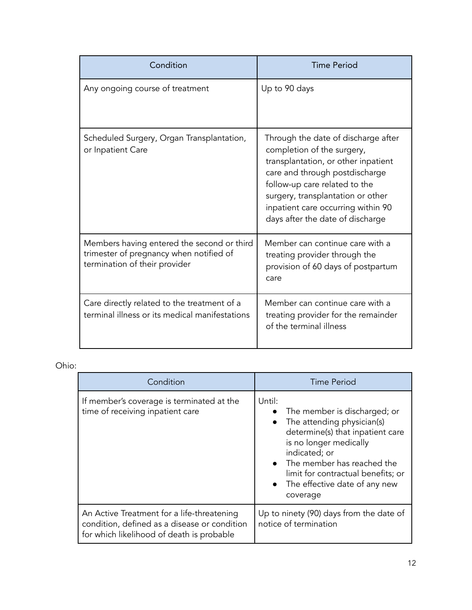| Condition                                                                                                              | <b>Time Period</b>                                                                                                                                                                                                                                                                         |
|------------------------------------------------------------------------------------------------------------------------|--------------------------------------------------------------------------------------------------------------------------------------------------------------------------------------------------------------------------------------------------------------------------------------------|
| Any ongoing course of treatment                                                                                        | Up to 90 days                                                                                                                                                                                                                                                                              |
| Scheduled Surgery, Organ Transplantation,<br>or Inpatient Care                                                         | Through the date of discharge after<br>completion of the surgery,<br>transplantation, or other inpatient<br>care and through postdischarge<br>follow-up care related to the<br>surgery, transplantation or other<br>inpatient care occurring within 90<br>days after the date of discharge |
| Members having entered the second or third<br>trimester of pregnancy when notified of<br>termination of their provider | Member can continue care with a<br>treating provider through the<br>provision of 60 days of postpartum<br>care                                                                                                                                                                             |
| Care directly related to the treatment of a<br>terminal illness or its medical manifestations                          | Member can continue care with a<br>treating provider for the remainder<br>of the terminal illness                                                                                                                                                                                          |

# Ohio:

| Condition                                                                                                                               | <b>Time Period</b>                                                                                                                                                                                                                                                       |
|-----------------------------------------------------------------------------------------------------------------------------------------|--------------------------------------------------------------------------------------------------------------------------------------------------------------------------------------------------------------------------------------------------------------------------|
| If member's coverage is terminated at the<br>time of receiving inpatient care                                                           | Until:<br>The member is discharged; or<br>The attending physician(s)<br>determine(s) that inpatient care<br>is no longer medically<br>indicated; or<br>• The member has reached the<br>limit for contractual benefits; or<br>• The effective date of any new<br>coverage |
| An Active Treatment for a life-threatening<br>condition, defined as a disease or condition<br>for which likelihood of death is probable | Up to ninety (90) days from the date of<br>notice of termination                                                                                                                                                                                                         |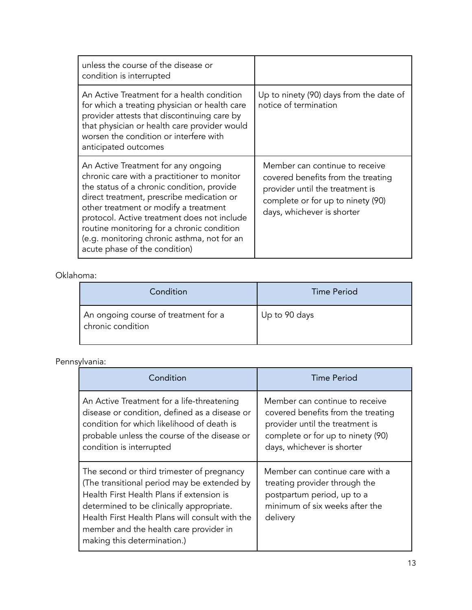| unless the course of the disease or<br>condition is interrupted                                                                                                                                                                                                                                                                                                                                     |                                                                                                                                                                            |
|-----------------------------------------------------------------------------------------------------------------------------------------------------------------------------------------------------------------------------------------------------------------------------------------------------------------------------------------------------------------------------------------------------|----------------------------------------------------------------------------------------------------------------------------------------------------------------------------|
| An Active Treatment for a health condition<br>for which a treating physician or health care<br>provider attests that discontinuing care by<br>that physician or health care provider would<br>worsen the condition or interfere with<br>anticipated outcomes                                                                                                                                        | Up to ninety (90) days from the date of<br>notice of termination                                                                                                           |
| An Active Treatment for any ongoing<br>chronic care with a practitioner to monitor<br>the status of a chronic condition, provide<br>direct treatment, prescribe medication or<br>other treatment or modify a treatment<br>protocol. Active treatment does not include<br>routine monitoring for a chronic condition<br>(e.g. monitoring chronic asthma, not for an<br>acute phase of the condition) | Member can continue to receive<br>covered benefits from the treating<br>provider until the treatment is<br>complete or for up to ninety (90)<br>days, whichever is shorter |

# Oklahoma:

| Condition                                                 | Time Period   |
|-----------------------------------------------------------|---------------|
| An ongoing course of treatment for a<br>chronic condition | Up to 90 days |

# Pennsylvania:

| Condition                                                                                                                                                                                                                                                                                                      | Time Period                                                                                                                                                                |
|----------------------------------------------------------------------------------------------------------------------------------------------------------------------------------------------------------------------------------------------------------------------------------------------------------------|----------------------------------------------------------------------------------------------------------------------------------------------------------------------------|
| An Active Treatment for a life-threatening<br>disease or condition, defined as a disease or<br>condition for which likelihood of death is<br>probable unless the course of the disease or<br>condition is interrupted                                                                                          | Member can continue to receive<br>covered benefits from the treating<br>provider until the treatment is<br>complete or for up to ninety (90)<br>days, whichever is shorter |
| The second or third trimester of pregnancy<br>(The transitional period may be extended by<br>Health First Health Plans if extension is<br>determined to be clinically appropriate.<br>Health First Health Plans will consult with the<br>member and the health care provider in<br>making this determination.) | Member can continue care with a<br>treating provider through the<br>postpartum period, up to a<br>minimum of six weeks after the<br>delivery                               |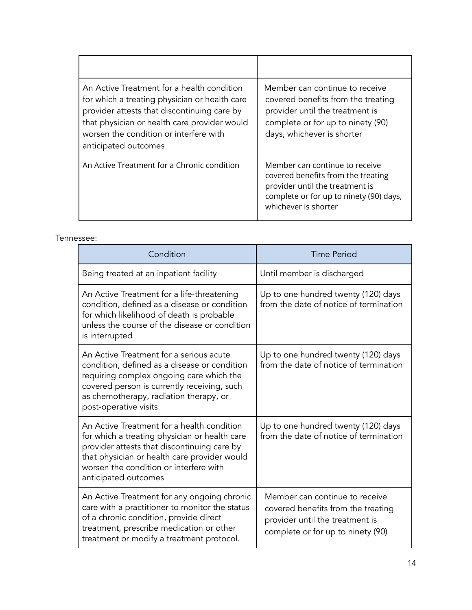| An Active Treatment for a health condition<br>for which a treating physician or health care<br>provider attests that discontinuing care by<br>that physician or health care provider would<br>worsen the condition or interfere with<br>anticipated outcomes | Member can continue to receive<br>covered benefits from the treating<br>provider until the treatment is<br>complete or for up to ninety (90)<br>days, whichever is shorter |
|--------------------------------------------------------------------------------------------------------------------------------------------------------------------------------------------------------------------------------------------------------------|----------------------------------------------------------------------------------------------------------------------------------------------------------------------------|
| An Active Treatment for a Chronic condition                                                                                                                                                                                                                  | Member can continue to receive<br>covered benefits from the treating<br>provider until the treatment is<br>complete or for up to ninety (90) days,<br>whichever is shorter |

#### Tennessee:

| Condition                                                                                                                                                                                                                                                    | Time Period                                                                                                                                  |
|--------------------------------------------------------------------------------------------------------------------------------------------------------------------------------------------------------------------------------------------------------------|----------------------------------------------------------------------------------------------------------------------------------------------|
| Being treated at an inpatient facility                                                                                                                                                                                                                       | Until member is discharged                                                                                                                   |
| An Active Treatment for a life-threatening<br>condition, defined as a disease or condition<br>for which likelihood of death is probable<br>unless the course of the disease or condition<br>is interrupted                                                   | Up to one hundred twenty (120) days<br>from the date of notice of termination                                                                |
| An Active Treatment for a serious acute<br>condition, defined as a disease or condition<br>requiring complex ongoing care which the<br>covered person is currently receiving, such<br>as chemotherapy, radiation therapy, or<br>post-operative visits        | Up to one hundred twenty (120) days<br>from the date of notice of termination                                                                |
| An Active Treatment for a health condition<br>for which a treating physician or health care<br>provider attests that discontinuing care by<br>that physician or health care provider would<br>worsen the condition or interfere with<br>anticipated outcomes | Up to one hundred twenty (120) days<br>from the date of notice of termination                                                                |
| An Active Treatment for any ongoing chronic<br>care with a practitioner to monitor the status<br>of a chronic condition, provide direct<br>treatment, prescribe medication or other<br>treatment or modify a treatment protocol.                             | Member can continue to receive<br>covered benefits from the treating<br>provider until the treatment is<br>complete or for up to ninety (90) |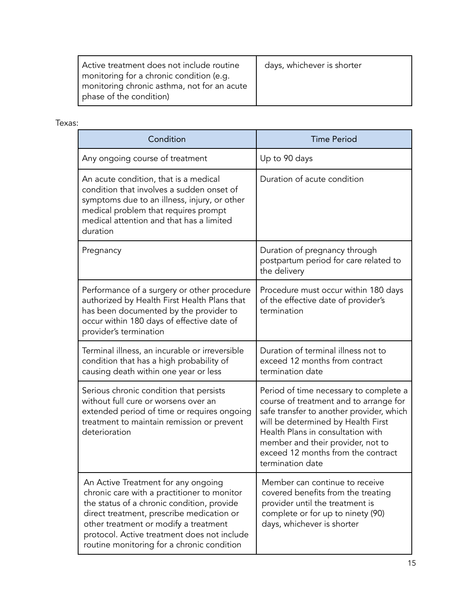| Active treatment does not include routine   | days, whichever is shorter |
|---------------------------------------------|----------------------------|
| monitoring for a chronic condition (e.g.    |                            |
| monitoring chronic asthma, not for an acute |                            |
| phase of the condition)                     |                            |

### Texas:

| Condition                                                                                                                                                                                                                                                                                                           | <b>Time Period</b>                                                                                                                                                                                                                                                                                     |
|---------------------------------------------------------------------------------------------------------------------------------------------------------------------------------------------------------------------------------------------------------------------------------------------------------------------|--------------------------------------------------------------------------------------------------------------------------------------------------------------------------------------------------------------------------------------------------------------------------------------------------------|
| Any ongoing course of treatment                                                                                                                                                                                                                                                                                     | Up to 90 days                                                                                                                                                                                                                                                                                          |
| An acute condition, that is a medical<br>condition that involves a sudden onset of<br>symptoms due to an illness, injury, or other<br>medical problem that requires prompt<br>medical attention and that has a limited<br>duration                                                                                  | Duration of acute condition                                                                                                                                                                                                                                                                            |
| Pregnancy                                                                                                                                                                                                                                                                                                           | Duration of pregnancy through<br>postpartum period for care related to<br>the delivery                                                                                                                                                                                                                 |
| Performance of a surgery or other procedure<br>authorized by Health First Health Plans that<br>has been documented by the provider to<br>occur within 180 days of effective date of<br>provider's termination                                                                                                       | Procedure must occur within 180 days<br>of the effective date of provider's<br>termination                                                                                                                                                                                                             |
| Terminal illness, an incurable or irreversible<br>condition that has a high probability of<br>causing death within one year or less                                                                                                                                                                                 | Duration of terminal illness not to<br>exceed 12 months from contract<br>termination date                                                                                                                                                                                                              |
| Serious chronic condition that persists<br>without full cure or worsens over an<br>extended period of time or requires ongoing<br>treatment to maintain remission or prevent<br>deterioration                                                                                                                       | Period of time necessary to complete a<br>course of treatment and to arrange for<br>safe transfer to another provider, which<br>will be determined by Health First<br>Health Plans in consultation with<br>member and their provider, not to<br>exceed 12 months from the contract<br>termination date |
| An Active Treatment for any ongoing<br>chronic care with a practitioner to monitor<br>the status of a chronic condition, provide<br>direct treatment, prescribe medication or<br>other treatment or modify a treatment<br>protocol. Active treatment does not include<br>routine monitoring for a chronic condition | Member can continue to receive<br>covered benefits from the treating<br>provider until the treatment is<br>complete or for up to ninety (90)<br>days, whichever is shorter                                                                                                                             |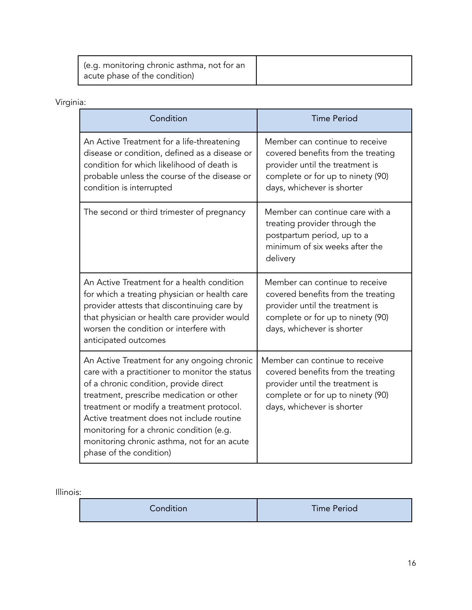| (e.g. monitoring chronic asthma, not for an<br>acute phase of the condition) |  |
|------------------------------------------------------------------------------|--|
|------------------------------------------------------------------------------|--|

# Virginia:

| Condition                                                                                                                                                                                                                                                                                                                                                                                           | <b>Time Period</b>                                                                                                                                                         |
|-----------------------------------------------------------------------------------------------------------------------------------------------------------------------------------------------------------------------------------------------------------------------------------------------------------------------------------------------------------------------------------------------------|----------------------------------------------------------------------------------------------------------------------------------------------------------------------------|
| An Active Treatment for a life-threatening<br>disease or condition, defined as a disease or<br>condition for which likelihood of death is<br>probable unless the course of the disease or<br>condition is interrupted                                                                                                                                                                               | Member can continue to receive<br>covered benefits from the treating<br>provider until the treatment is<br>complete or for up to ninety (90)<br>days, whichever is shorter |
| The second or third trimester of pregnancy                                                                                                                                                                                                                                                                                                                                                          | Member can continue care with a<br>treating provider through the<br>postpartum period, up to a<br>minimum of six weeks after the<br>delivery                               |
| An Active Treatment for a health condition<br>for which a treating physician or health care<br>provider attests that discontinuing care by<br>that physician or health care provider would<br>worsen the condition or interfere with<br>anticipated outcomes                                                                                                                                        | Member can continue to receive<br>covered benefits from the treating<br>provider until the treatment is<br>complete or for up to ninety (90)<br>days, whichever is shorter |
| An Active Treatment for any ongoing chronic<br>care with a practitioner to monitor the status<br>of a chronic condition, provide direct<br>treatment, prescribe medication or other<br>treatment or modify a treatment protocol.<br>Active treatment does not include routine<br>monitoring for a chronic condition (e.g.<br>monitoring chronic asthma, not for an acute<br>phase of the condition) | Member can continue to receive<br>covered benefits from the treating<br>provider until the treatment is<br>complete or for up to ninety (90)<br>days, whichever is shorter |

### Illinois:

| Condition | <b>Time Period</b> |
|-----------|--------------------|
|           |                    |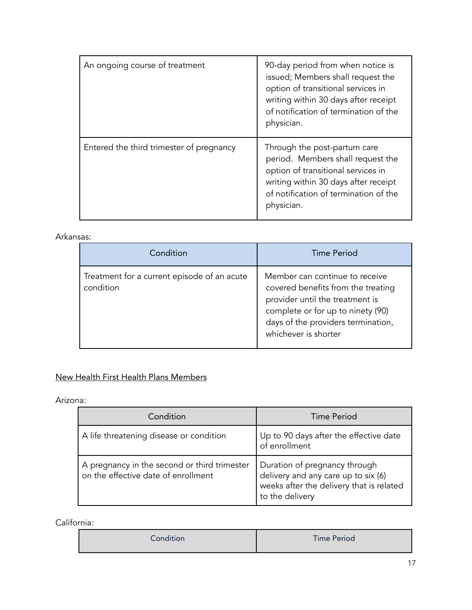| An ongoing course of treatment           | 90-day period from when notice is<br>issued; Members shall request the<br>option of transitional services in<br>writing within 30 days after receipt<br>of notification of termination of the<br>physician. |
|------------------------------------------|-------------------------------------------------------------------------------------------------------------------------------------------------------------------------------------------------------------|
| Entered the third trimester of pregnancy | Through the post-partum care<br>period. Members shall request the<br>option of transitional services in<br>writing within 30 days after receipt<br>of notification of termination of the<br>physician.      |

#### Arkansas:

| Condition                                                | <b>Time Period</b>                                                                                                                                                                                         |
|----------------------------------------------------------|------------------------------------------------------------------------------------------------------------------------------------------------------------------------------------------------------------|
| Treatment for a current episode of an acute<br>condition | Member can continue to receive<br>covered benefits from the treating<br>provider until the treatment is<br>complete or for up to ninety (90)<br>days of the providers termination,<br>whichever is shorter |

# New Health First Health Plans Members

Arizona:

| Condition                                                                           | Time Period                                                                                                                         |
|-------------------------------------------------------------------------------------|-------------------------------------------------------------------------------------------------------------------------------------|
| A life threatening disease or condition                                             | Up to 90 days after the effective date<br>of enrollment                                                                             |
| A pregnancy in the second or third trimester<br>on the effective date of enrollment | Duration of pregnancy through<br>delivery and any care up to six (6)<br>weeks after the delivery that is related<br>to the delivery |

California:

| Condition | <b>Time Period</b> |
|-----------|--------------------|
|-----------|--------------------|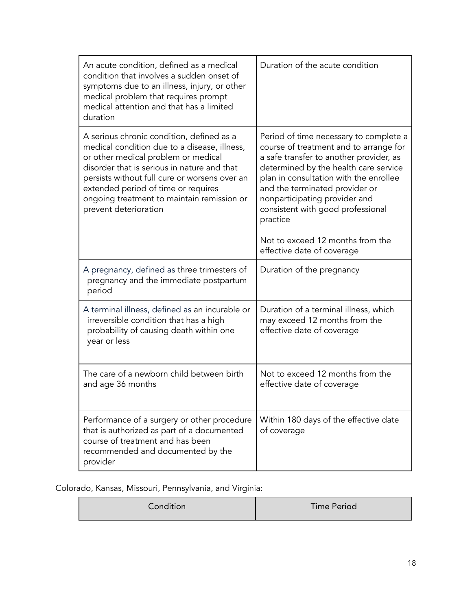| An acute condition, defined as a medical<br>condition that involves a sudden onset of<br>symptoms due to an illness, injury, or other<br>medical problem that requires prompt<br>medical attention and that has a limited<br>duration                                                                                                          | Duration of the acute condition                                                                                                                                                                                                                                                                                                                                                                      |
|------------------------------------------------------------------------------------------------------------------------------------------------------------------------------------------------------------------------------------------------------------------------------------------------------------------------------------------------|------------------------------------------------------------------------------------------------------------------------------------------------------------------------------------------------------------------------------------------------------------------------------------------------------------------------------------------------------------------------------------------------------|
| A serious chronic condition, defined as a<br>medical condition due to a disease, illness,<br>or other medical problem or medical<br>disorder that is serious in nature and that<br>persists without full cure or worsens over an<br>extended period of time or requires<br>ongoing treatment to maintain remission or<br>prevent deterioration | Period of time necessary to complete a<br>course of treatment and to arrange for<br>a safe transfer to another provider, as<br>determined by the health care service<br>plan in consultation with the enrollee<br>and the terminated provider or<br>nonparticipating provider and<br>consistent with good professional<br>practice<br>Not to exceed 12 months from the<br>effective date of coverage |
|                                                                                                                                                                                                                                                                                                                                                |                                                                                                                                                                                                                                                                                                                                                                                                      |
| A pregnancy, defined as three trimesters of<br>pregnancy and the immediate postpartum<br>period                                                                                                                                                                                                                                                | Duration of the pregnancy                                                                                                                                                                                                                                                                                                                                                                            |
| A terminal illness, defined as an incurable or<br>irreversible condition that has a high<br>probability of causing death within one<br>year or less                                                                                                                                                                                            | Duration of a terminal illness, which<br>may exceed 12 months from the<br>effective date of coverage                                                                                                                                                                                                                                                                                                 |
| The care of a newborn child between birth<br>and age 36 months                                                                                                                                                                                                                                                                                 | Not to exceed 12 months from the<br>effective date of coverage                                                                                                                                                                                                                                                                                                                                       |
| Performance of a surgery or other procedure<br>that is authorized as part of a documented<br>course of treatment and has been<br>recommended and documented by the<br>provider                                                                                                                                                                 | Within 180 days of the effective date<br>of coverage                                                                                                                                                                                                                                                                                                                                                 |

Colorado, Kansas, Missouri, Pennsylvania, and Virginia:

| Condition | Time Period |
|-----------|-------------|
|-----------|-------------|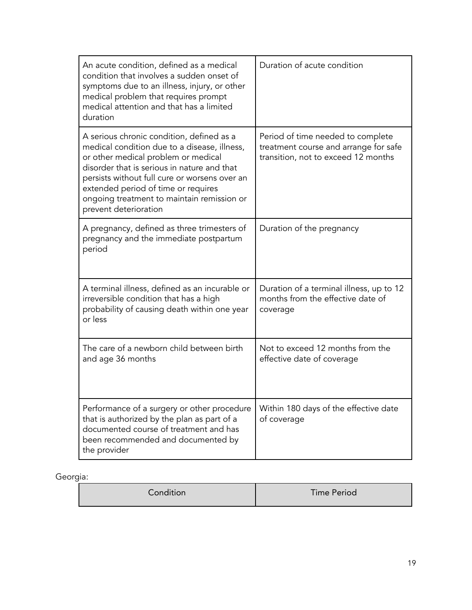| An acute condition, defined as a medical<br>condition that involves a sudden onset of<br>symptoms due to an illness, injury, or other<br>medical problem that requires prompt<br>medical attention and that has a limited<br>duration                                                                                                          | Duration of acute condition                                                                                       |
|------------------------------------------------------------------------------------------------------------------------------------------------------------------------------------------------------------------------------------------------------------------------------------------------------------------------------------------------|-------------------------------------------------------------------------------------------------------------------|
| A serious chronic condition, defined as a<br>medical condition due to a disease, illness,<br>or other medical problem or medical<br>disorder that is serious in nature and that<br>persists without full cure or worsens over an<br>extended period of time or requires<br>ongoing treatment to maintain remission or<br>prevent deterioration | Period of time needed to complete<br>treatment course and arrange for safe<br>transition, not to exceed 12 months |
| A pregnancy, defined as three trimesters of<br>pregnancy and the immediate postpartum<br>period                                                                                                                                                                                                                                                | Duration of the pregnancy                                                                                         |
| A terminal illness, defined as an incurable or<br>irreversible condition that has a high<br>probability of causing death within one year<br>or less                                                                                                                                                                                            | Duration of a terminal illness, up to 12<br>months from the effective date of<br>coverage                         |
| The care of a newborn child between birth<br>and age 36 months                                                                                                                                                                                                                                                                                 | Not to exceed 12 months from the<br>effective date of coverage                                                    |
| Performance of a surgery or other procedure<br>that is authorized by the plan as part of a<br>documented course of treatment and has<br>been recommended and documented by<br>the provider                                                                                                                                                     | Within 180 days of the effective date<br>of coverage                                                              |

# Georgia:

| Condition | Time Period |
|-----------|-------------|
|-----------|-------------|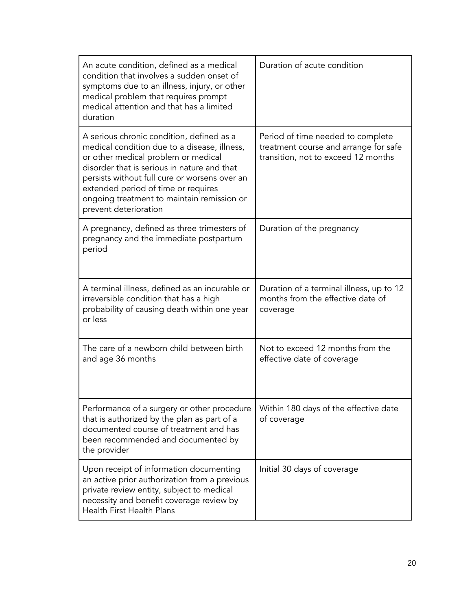| An acute condition, defined as a medical<br>condition that involves a sudden onset of<br>symptoms due to an illness, injury, or other<br>medical problem that requires prompt<br>medical attention and that has a limited<br>duration                                                                                                          | Duration of acute condition                                                                                       |
|------------------------------------------------------------------------------------------------------------------------------------------------------------------------------------------------------------------------------------------------------------------------------------------------------------------------------------------------|-------------------------------------------------------------------------------------------------------------------|
| A serious chronic condition, defined as a<br>medical condition due to a disease, illness,<br>or other medical problem or medical<br>disorder that is serious in nature and that<br>persists without full cure or worsens over an<br>extended period of time or requires<br>ongoing treatment to maintain remission or<br>prevent deterioration | Period of time needed to complete<br>treatment course and arrange for safe<br>transition, not to exceed 12 months |
| A pregnancy, defined as three trimesters of<br>pregnancy and the immediate postpartum<br>period                                                                                                                                                                                                                                                | Duration of the pregnancy                                                                                         |
| A terminal illness, defined as an incurable or<br>irreversible condition that has a high<br>probability of causing death within one year<br>or less                                                                                                                                                                                            | Duration of a terminal illness, up to 12<br>months from the effective date of<br>coverage                         |
| The care of a newborn child between birth<br>and age 36 months                                                                                                                                                                                                                                                                                 | Not to exceed 12 months from the<br>effective date of coverage                                                    |
| Performance of a surgery or other procedure<br>that is authorized by the plan as part of a<br>documented course of treatment and has<br>been recommended and documented by<br>the provider                                                                                                                                                     | Within 180 days of the effective date<br>of coverage                                                              |
| Upon receipt of information documenting<br>an active prior authorization from a previous<br>private review entity, subject to medical<br>necessity and benefit coverage review by<br>Health First Health Plans                                                                                                                                 | Initial 30 days of coverage                                                                                       |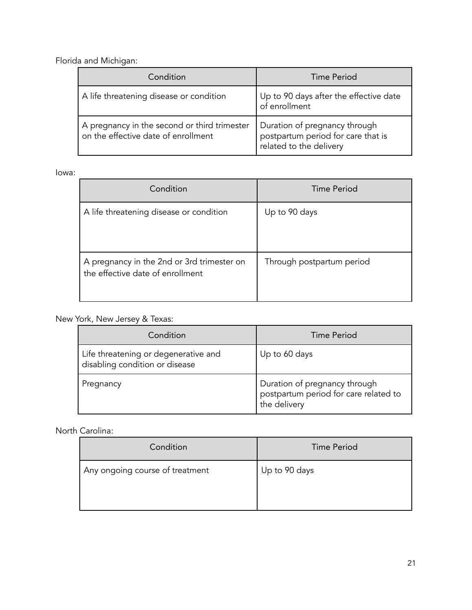Florida and Michigan:

| Condition                                                                           | Time Period                                                                                    |
|-------------------------------------------------------------------------------------|------------------------------------------------------------------------------------------------|
| A life threatening disease or condition                                             | Up to 90 days after the effective date<br>of enrollment                                        |
| A pregnancy in the second or third trimester<br>on the effective date of enrollment | Duration of pregnancy through<br>postpartum period for care that is<br>related to the delivery |

#### Iowa:

| Condition                                                                      | Time Period               |
|--------------------------------------------------------------------------------|---------------------------|
| A life threatening disease or condition                                        | Up to 90 days             |
| A pregnancy in the 2nd or 3rd trimester on<br>the effective date of enrollment | Through postpartum period |

## New York, New Jersey & Texas:

| Condition                                                              | Time Period                                                                            |
|------------------------------------------------------------------------|----------------------------------------------------------------------------------------|
| Life threatening or degenerative and<br>disabling condition or disease | Up to 60 days                                                                          |
| Pregnancy                                                              | Duration of pregnancy through<br>postpartum period for care related to<br>the delivery |

# North Carolina:

| Condition                       | <b>Time Period</b> |
|---------------------------------|--------------------|
| Any ongoing course of treatment | Up to 90 days      |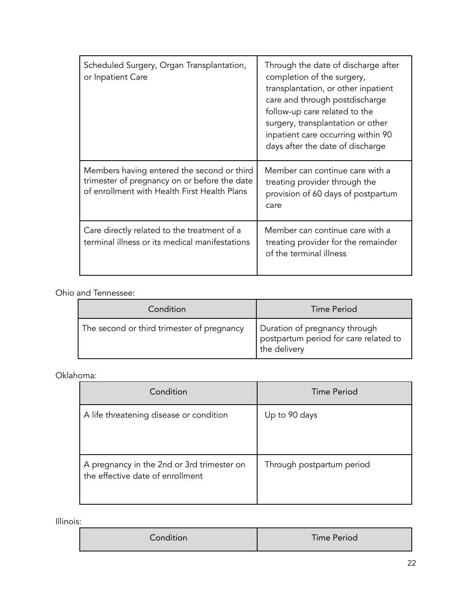| Scheduled Surgery, Organ Transplantation,<br>or Inpatient Care                                                                             | Through the date of discharge after<br>completion of the surgery,<br>transplantation, or other inpatient<br>care and through postdischarge<br>follow-up care related to the<br>surgery, transplantation or other<br>inpatient care occurring within 90<br>days after the date of discharge |
|--------------------------------------------------------------------------------------------------------------------------------------------|--------------------------------------------------------------------------------------------------------------------------------------------------------------------------------------------------------------------------------------------------------------------------------------------|
| Members having entered the second or third<br>trimester of pregnancy on or before the date<br>of enrollment with Health First Health Plans | Member can continue care with a<br>treating provider through the<br>provision of 60 days of postpartum<br>care                                                                                                                                                                             |
| Care directly related to the treatment of a<br>terminal illness or its medical manifestations                                              | Member can continue care with a<br>treating provider for the remainder<br>of the terminal illness                                                                                                                                                                                          |

### Ohio and Tennessee:

| Condition                                  | Time Period                                                                            |
|--------------------------------------------|----------------------------------------------------------------------------------------|
| The second or third trimester of pregnancy | Duration of pregnancy through<br>postpartum period for care related to<br>the delivery |

### Oklahoma:

| Condition                                                                      | <b>Time Period</b>        |
|--------------------------------------------------------------------------------|---------------------------|
| A life threatening disease or condition                                        | Up to 90 days             |
| A pregnancy in the 2nd or 3rd trimester on<br>the effective date of enrollment | Through postpartum period |

Illinois:

| Condition | <b>Time Period</b> |
|-----------|--------------------|
|-----------|--------------------|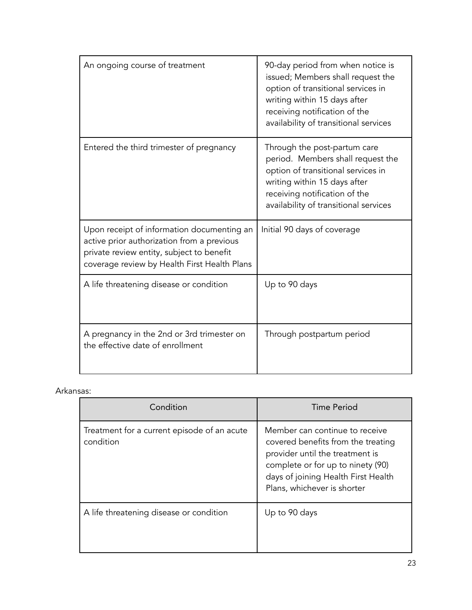| An ongoing course of treatment                                                                                                                                                        | 90-day period from when notice is<br>issued; Members shall request the<br>option of transitional services in<br>writing within 15 days after<br>receiving notification of the<br>availability of transitional services |
|---------------------------------------------------------------------------------------------------------------------------------------------------------------------------------------|------------------------------------------------------------------------------------------------------------------------------------------------------------------------------------------------------------------------|
| Entered the third trimester of pregnancy                                                                                                                                              | Through the post-partum care<br>period. Members shall request the<br>option of transitional services in<br>writing within 15 days after<br>receiving notification of the<br>availability of transitional services      |
| Upon receipt of information documenting an<br>active prior authorization from a previous<br>private review entity, subject to benefit<br>coverage review by Health First Health Plans | Initial 90 days of coverage                                                                                                                                                                                            |
| A life threatening disease or condition                                                                                                                                               | Up to 90 days                                                                                                                                                                                                          |
| A pregnancy in the 2nd or 3rd trimester on<br>the effective date of enrollment                                                                                                        | Through postpartum period                                                                                                                                                                                              |

### Arkansas:

| Condition                                                | Time Period                                                                                                                                                                                                        |
|----------------------------------------------------------|--------------------------------------------------------------------------------------------------------------------------------------------------------------------------------------------------------------------|
| Treatment for a current episode of an acute<br>condition | Member can continue to receive<br>covered benefits from the treating<br>provider until the treatment is<br>complete or for up to ninety (90)<br>days of joining Health First Health<br>Plans, whichever is shorter |
| A life threatening disease or condition                  | Up to 90 days                                                                                                                                                                                                      |